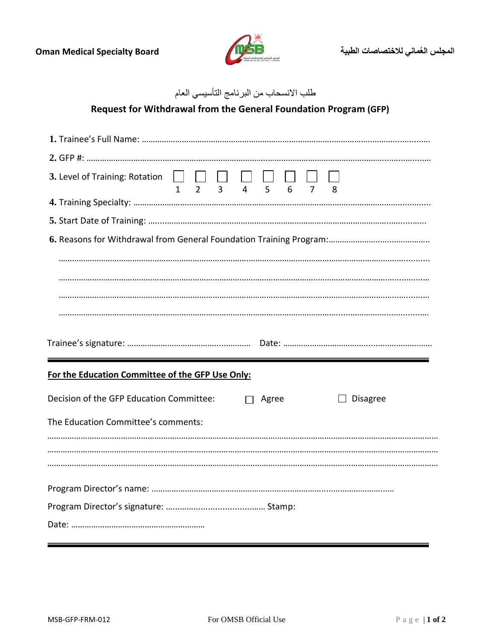

## طلب االنسحاب من البرنامج التأسيسي العام

## **Request for Withdrawal from the General Foundation Program (GFP)**

| 3. Level of Training: Rotation $\Box$ $\Box$ $\Box$ $\Box$ $\Box$<br>$2^{\circ}$<br>$\overline{3}$<br>5 <sup>1</sup><br>6<br>$\overline{4}$<br>$\overline{7}$<br>$\mathbf{1}$<br>8 |  |  |  |
|------------------------------------------------------------------------------------------------------------------------------------------------------------------------------------|--|--|--|
|                                                                                                                                                                                    |  |  |  |
|                                                                                                                                                                                    |  |  |  |
|                                                                                                                                                                                    |  |  |  |
|                                                                                                                                                                                    |  |  |  |
|                                                                                                                                                                                    |  |  |  |
|                                                                                                                                                                                    |  |  |  |
|                                                                                                                                                                                    |  |  |  |
| For the Education Committee of the GFP Use Only:                                                                                                                                   |  |  |  |
|                                                                                                                                                                                    |  |  |  |
| Decision of the GFP Education Committee:<br><b>Disagree</b><br>Agree                                                                                                               |  |  |  |
| The Education Committee's comments:                                                                                                                                                |  |  |  |
|                                                                                                                                                                                    |  |  |  |
|                                                                                                                                                                                    |  |  |  |
|                                                                                                                                                                                    |  |  |  |
|                                                                                                                                                                                    |  |  |  |